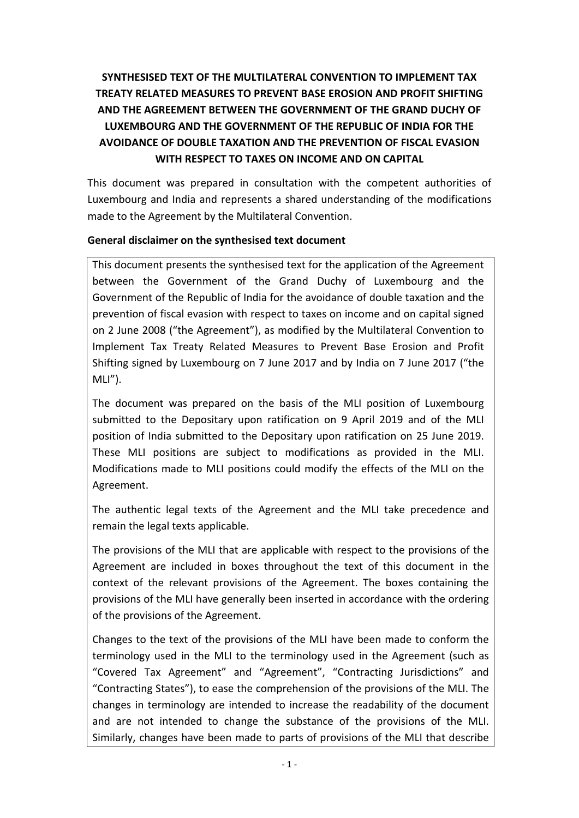# **SYNTHESISED TEXT OF THE MULTILATERAL CONVENTION TO IMPLEMENT TAX TREATY RELATED MEASURES TO PREVENT BASE EROSION AND PROFIT SHIFTING AND THE AGREEMENT BETWEEN THE GOVERNMENT OF THE GRAND DUCHY OF LUXEMBOURG AND THE GOVERNMENT OF THE REPUBLIC OF INDIA FOR THE AVOIDANCE OF DOUBLE TAXATION AND THE PREVENTION OF FISCAL EVASION WITH RESPECT TO TAXES ON INCOME AND ON CAPITAL**

This document was prepared in consultation with the competent authorities of Luxembourg and India and represents a shared understanding of the modifications made to the Agreement by the Multilateral Convention.

#### **General disclaimer on the synthesised text document**

This document presents the synthesised text for the application of the Agreement between the Government of the Grand Duchy of Luxembourg and the Government of the Republic of India for the avoidance of double taxation and the prevention of fiscal evasion with respect to taxes on income and on capital signed on 2 June 2008 ("the Agreement"), as modified by the Multilateral Convention to Implement Tax Treaty Related Measures to Prevent Base Erosion and Profit Shifting signed by Luxembourg on 7 June 2017 and by India on 7 June 2017 ("the  $MLI''$ ).

The document was prepared on the basis of the MLI position of Luxembourg submitted to the Depositary upon ratification on 9 April 2019 and of the MLI position of India submitted to the Depositary upon ratification on 25 June 2019. These MLI positions are subject to modifications as provided in the MLI. Modifications made to MLI positions could modify the effects of the MLI on the Agreement.

The authentic legal texts of the Agreement and the MLI take precedence and remain the legal texts applicable.

The provisions of the MLI that are applicable with respect to the provisions of the Agreement are included in boxes throughout the text of this document in the context of the relevant provisions of the Agreement. The boxes containing the provisions of the MLI have generally been inserted in accordance with the ordering of the provisions of the Agreement.

Changes to the text of the provisions of the MLI have been made to conform the terminology used in the MLI to the terminology used in the Agreement (such as "Covered Tax Agreement" and "Agreement", "Contracting Jurisdictions" and "Contracting States"), to ease the comprehension of the provisions of the MLI. The changes in terminology are intended to increase the readability of the document and are not intended to change the substance of the provisions of the MLI. Similarly, changes have been made to parts of provisions of the MLI that describe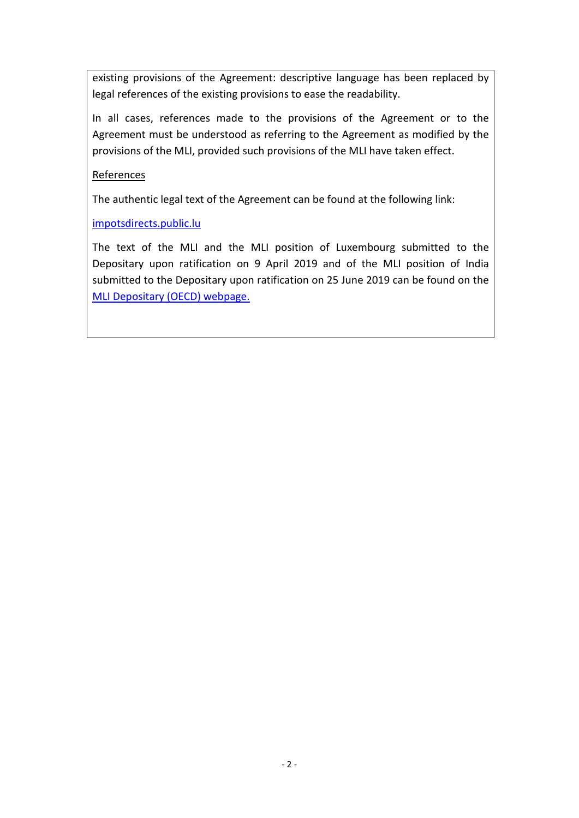existing provisions of the Agreement: descriptive language has been replaced by legal references of the existing provisions to ease the readability.

In all cases, references made to the provisions of the Agreement or to the Agreement must be understood as referring to the Agreement as modified by the provisions of the MLI, provided such provisions of the MLI have taken effect.

**References** 

The authentic legal text of the Agreement can be found at the following link:

[impotsdirects.public.lu](https://impotsdirects.public.lu/fr.html)

The text of the MLI and the MLI position of Luxembourg submitted to the Depositary upon ratification on 9 April 2019 and of the MLI position of India submitted to the Depositary upon ratification on 25 June 2019 can be found on the [MLI Depositary \(OECD\) webpage.](https://www.oecd.org/tax/treaties/multilateral-convention-to-implement-tax-treaty-related-measures-to-prevent-beps.htm)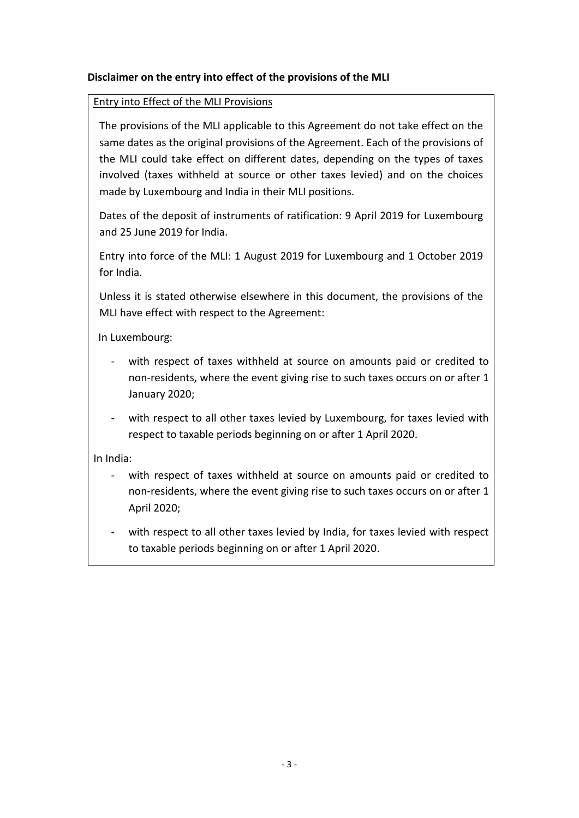## **Disclaimer on the entry into effect of the provisions of the MLI**

## Entry into Effect of the MLI Provisions

The provisions of the MLI applicable to this Agreement do not take effect on the same dates as the original provisions of the Agreement. Each of the provisions of the MLI could take effect on different dates, depending on the types of taxes involved (taxes withheld at source or other taxes levied) and on the choices made by Luxembourg and India in their MLI positions.

Dates of the deposit of instruments of ratification: 9 April 2019 for Luxembourg and 25 June 2019 for India.

Entry into force of the MLI: 1 August 2019 for Luxembourg and 1 October 2019 for India.

Unless it is stated otherwise elsewhere in this document, the provisions of the MLI have effect with respect to the Agreement:

In Luxembourg:

- with respect of taxes withheld at source on amounts paid or credited to non-residents, where the event giving rise to such taxes occurs on or after 1 January 2020;
- with respect to all other taxes levied by Luxembourg, for taxes levied with respect to taxable periods beginning on or after 1 April 2020.

In India:

- with respect of taxes withheld at source on amounts paid or credited to non-residents, where the event giving rise to such taxes occurs on or after 1 April 2020;
- with respect to all other taxes levied by India, for taxes levied with respect to taxable periods beginning on or after 1 April 2020.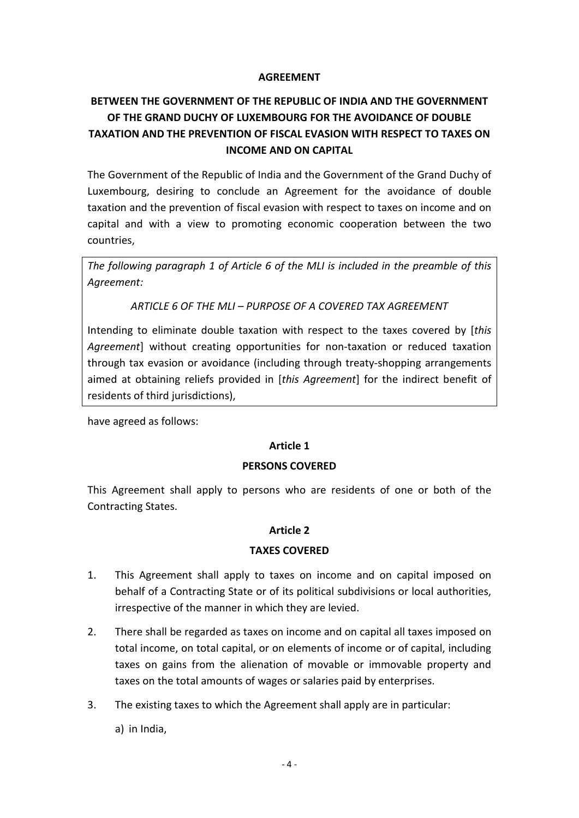## **AGREEMENT**

# **BETWEEN THE GOVERNMENT OF THE REPUBLIC OF INDIA AND THE GOVERNMENT OF THE GRAND DUCHY OF LUXEMBOURG FOR THE AVOIDANCE OF DOUBLE TAXATION AND THE PREVENTION OF FISCAL EVASION WITH RESPECT TO TAXES ON INCOME AND ON CAPITAL**

The Government of the Republic of India and the Government of the Grand Duchy of Luxembourg, desiring to conclude an Agreement for the avoidance of double taxation and the prevention of fiscal evasion with respect to taxes on income and on capital and with a view to promoting economic cooperation between the two countries,

*The following paragraph 1 of Article 6 of the MLI is included in the preamble of this Agreement:*

*ARTICLE 6 OF THE MLI – PURPOSE OF A COVERED TAX AGREEMENT*

Intending to eliminate double taxation with respect to the taxes covered by [*this Agreement*] without creating opportunities for non-taxation or reduced taxation through tax evasion or avoidance (including through treaty-shopping arrangements aimed at obtaining reliefs provided in [*this Agreement*] for the indirect benefit of residents of third jurisdictions),

have agreed as follows:

## **Article 1**

#### **PERSONS COVERED**

This Agreement shall apply to persons who are residents of one or both of the Contracting States.

#### **Article 2**

## **TAXES COVERED**

- 1. This Agreement shall apply to taxes on income and on capital imposed on behalf of a Contracting State or of its political subdivisions or local authorities, irrespective of the manner in which they are levied.
- 2. There shall be regarded as taxes on income and on capital all taxes imposed on total income, on total capital, or on elements of income or of capital, including taxes on gains from the alienation of movable or immovable property and taxes on the total amounts of wages or salaries paid by enterprises.
- 3. The existing taxes to which the Agreement shall apply are in particular:
	- a) in India,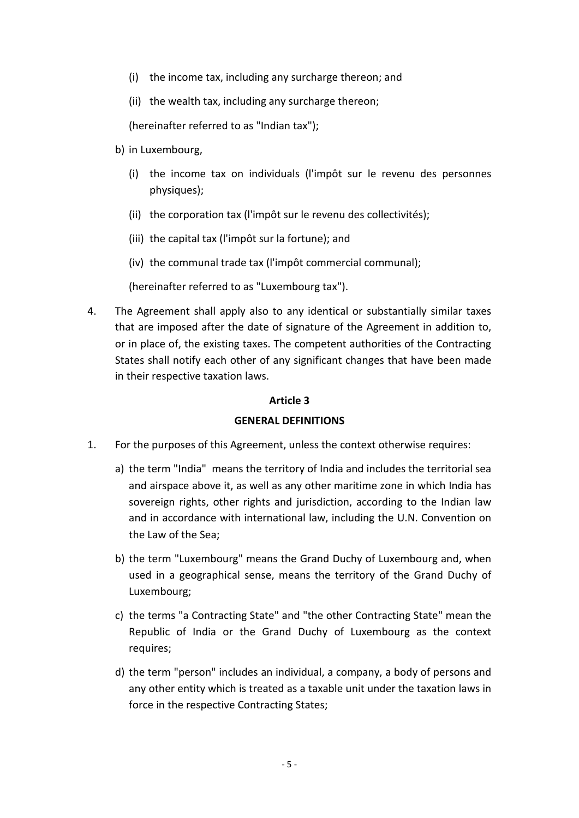- (i) the income tax, including any surcharge thereon; and
- (ii) the wealth tax, including any surcharge thereon;

(hereinafter referred to as "Indian tax");

- b) in Luxembourg,
	- (i) the income tax on individuals (l'impôt sur le revenu des personnes physiques);
	- (ii) the corporation tax (l'impôt sur le revenu des collectivités);
	- (iii) the capital tax (l'impôt sur la fortune); and
	- (iv) the communal trade tax (l'impôt commercial communal);

(hereinafter referred to as "Luxembourg tax").

4. The Agreement shall apply also to any identical or substantially similar taxes that are imposed after the date of signature of the Agreement in addition to, or in place of, the existing taxes. The competent authorities of the Contracting States shall notify each other of any significant changes that have been made in their respective taxation laws.

#### **Article 3**

#### **GENERAL DEFINITIONS**

- 1. For the purposes of this Agreement, unless the context otherwise requires:
	- a) the term "India" means the territory of India and includes the territorial sea and airspace above it, as well as any other maritime zone in which India has sovereign rights, other rights and jurisdiction, according to the Indian law and in accordance with international law, including the U.N. Convention on the Law of the Sea;
	- b) the term "Luxembourg" means the Grand Duchy of Luxembourg and, when used in a geographical sense, means the territory of the Grand Duchy of Luxembourg;
	- c) the terms "a Contracting State" and "the other Contracting State" mean the Republic of India or the Grand Duchy of Luxembourg as the context requires;
	- d) the term "person" includes an individual, a company, a body of persons and any other entity which is treated as a taxable unit under the taxation laws in force in the respective Contracting States;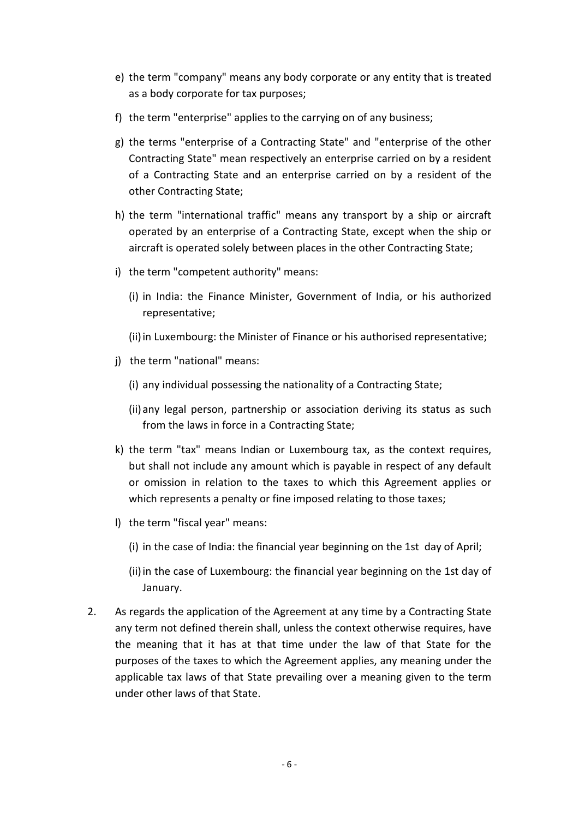- e) the term "company" means any body corporate or any entity that is treated as a body corporate for tax purposes;
- f) the term "enterprise" applies to the carrying on of any business;
- g) the terms "enterprise of a Contracting State" and "enterprise of the other Contracting State" mean respectively an enterprise carried on by a resident of a Contracting State and an enterprise carried on by a resident of the other Contracting State;
- h) the term "international traffic" means any transport by a ship or aircraft operated by an enterprise of a Contracting State, except when the ship or aircraft is operated solely between places in the other Contracting State;
- i) the term "competent authority" means:
	- (i) in India: the Finance Minister, Government of India, or his authorized representative;
	- (ii)in Luxembourg: the Minister of Finance or his authorised representative;
- j) the term "national" means:
	- (i) any individual possessing the nationality of a Contracting State;
	- (ii)any legal person, partnership or association deriving its status as such from the laws in force in a Contracting State;
- k) the term "tax" means Indian or Luxembourg tax, as the context requires, but shall not include any amount which is payable in respect of any default or omission in relation to the taxes to which this Agreement applies or which represents a penalty or fine imposed relating to those taxes;
- l) the term "fiscal year" means:
	- (i) in the case of India: the financial year beginning on the 1st day of April;
	- (ii) in the case of Luxembourg: the financial year beginning on the 1st day of January.
- 2. As regards the application of the Agreement at any time by a Contracting State any term not defined therein shall, unless the context otherwise requires, have the meaning that it has at that time under the law of that State for the purposes of the taxes to which the Agreement applies, any meaning under the applicable tax laws of that State prevailing over a meaning given to the term under other laws of that State.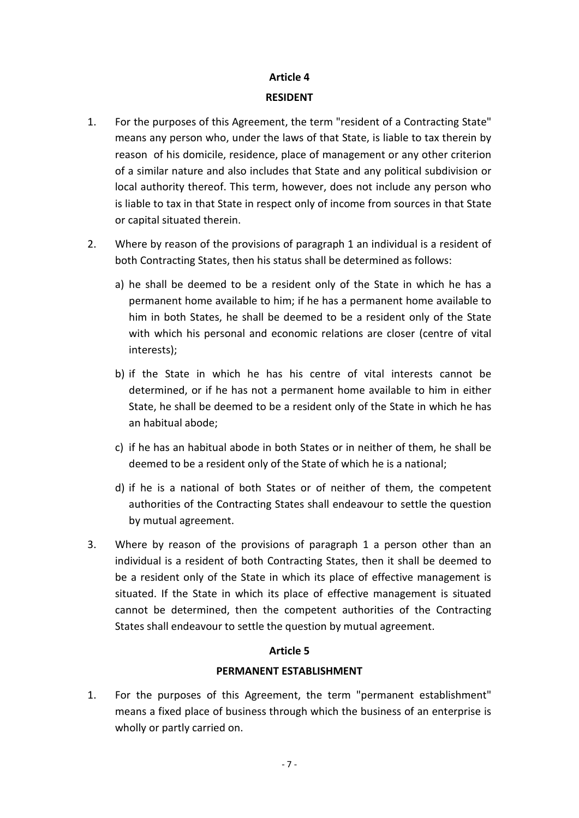## **RESIDENT**

- 1. For the purposes of this Agreement, the term "resident of a Contracting State" means any person who, under the laws of that State, is liable to tax therein by reason of his domicile, residence, place of management or any other criterion of a similar nature and also includes that State and any political subdivision or local authority thereof. This term, however, does not include any person who is liable to tax in that State in respect only of income from sources in that State or capital situated therein.
- 2. Where by reason of the provisions of paragraph 1 an individual is a resident of both Contracting States, then his status shall be determined as follows:
	- a) he shall be deemed to be a resident only of the State in which he has a permanent home available to him; if he has a permanent home available to him in both States, he shall be deemed to be a resident only of the State with which his personal and economic relations are closer (centre of vital interests);
	- b) if the State in which he has his centre of vital interests cannot be determined, or if he has not a permanent home available to him in either State, he shall be deemed to be a resident only of the State in which he has an habitual abode;
	- c) if he has an habitual abode in both States or in neither of them, he shall be deemed to be a resident only of the State of which he is a national;
	- d) if he is a national of both States or of neither of them, the competent authorities of the Contracting States shall endeavour to settle the question by mutual agreement.
- 3. Where by reason of the provisions of paragraph 1 a person other than an individual is a resident of both Contracting States, then it shall be deemed to be a resident only of the State in which its place of effective management is situated. If the State in which its place of effective management is situated cannot be determined, then the competent authorities of the Contracting States shall endeavour to settle the question by mutual agreement.

# **Article 5**

## **PERMANENT ESTABLISHMENT**

1. For the purposes of this Agreement, the term "permanent establishment" means a fixed place of business through which the business of an enterprise is wholly or partly carried on.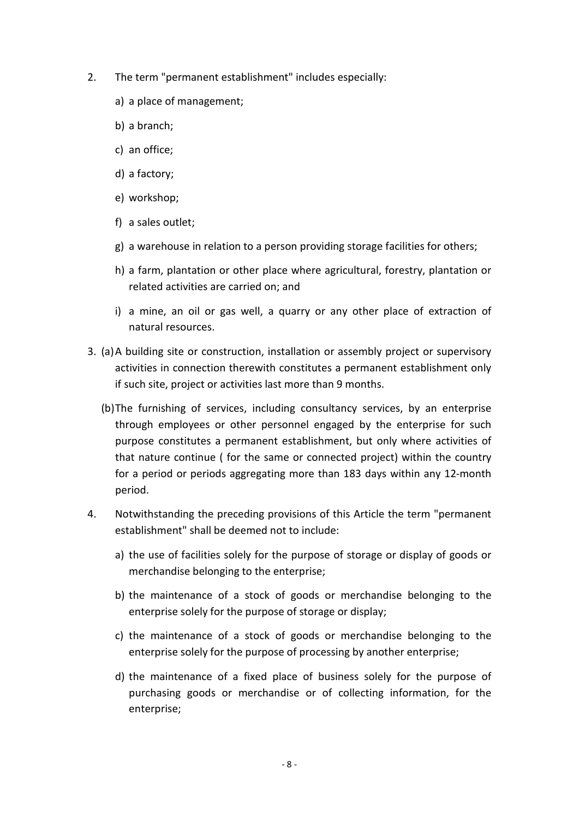- 2. The term "permanent establishment" includes especially:
	- a) a place of management;
	- b) a branch;
	- c) an office;
	- d) a factory;
	- e) workshop;
	- f) a sales outlet;
	- g) a warehouse in relation to a person providing storage facilities for others;
	- h) a farm, plantation or other place where agricultural, forestry, plantation or related activities are carried on; and
	- i) a mine, an oil or gas well, a quarry or any other place of extraction of natural resources.
- 3. (a)A building site or construction, installation or assembly project or supervisory activities in connection therewith constitutes a permanent establishment only if such site, project or activities last more than 9 months.
	- (b)The furnishing of services, including consultancy services, by an enterprise through employees or other personnel engaged by the enterprise for such purpose constitutes a permanent establishment, but only where activities of that nature continue ( for the same or connected project) within the country for a period or periods aggregating more than 183 days within any 12-month period.
- 4. Notwithstanding the preceding provisions of this Article the term "permanent establishment" shall be deemed not to include:
	- a) the use of facilities solely for the purpose of storage or display of goods or merchandise belonging to the enterprise;
	- b) the maintenance of a stock of goods or merchandise belonging to the enterprise solely for the purpose of storage or display;
	- c) the maintenance of a stock of goods or merchandise belonging to the enterprise solely for the purpose of processing by another enterprise;
	- d) the maintenance of a fixed place of business solely for the purpose of purchasing goods or merchandise or of collecting information, for the enterprise;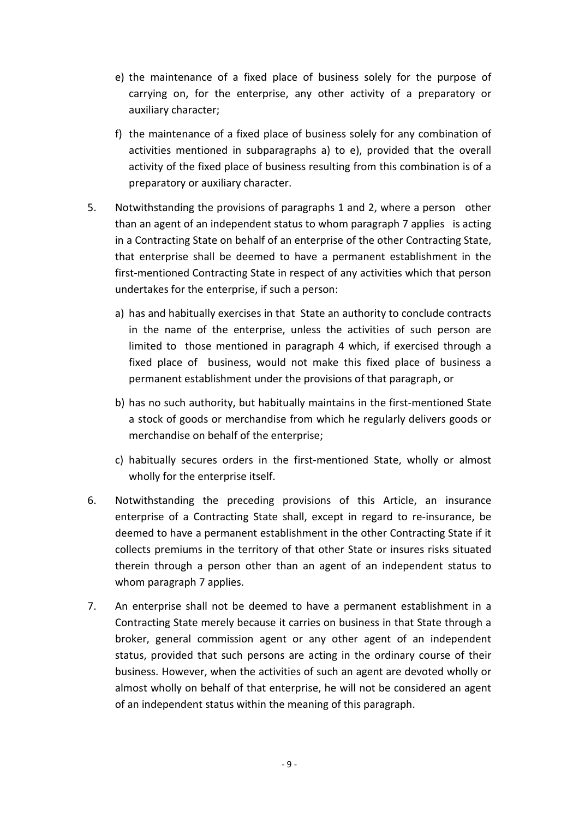- e) the maintenance of a fixed place of business solely for the purpose of carrying on, for the enterprise, any other activity of a preparatory or auxiliary character;
- f) the maintenance of a fixed place of business solely for any combination of activities mentioned in subparagraphs a) to e), provided that the overall activity of the fixed place of business resulting from this combination is of a preparatory or auxiliary character.
- 5. Notwithstanding the provisions of paragraphs 1 and 2, where a person other than an agent of an independent status to whom paragraph 7 applies is acting in a Contracting State on behalf of an enterprise of the other Contracting State, that enterprise shall be deemed to have a permanent establishment in the first-mentioned Contracting State in respect of any activities which that person undertakes for the enterprise, if such a person:
	- a) has and habitually exercises in that State an authority to conclude contracts in the name of the enterprise, unless the activities of such person are limited to those mentioned in paragraph 4 which, if exercised through a fixed place of business, would not make this fixed place of business a permanent establishment under the provisions of that paragraph, or
	- b) has no such authority, but habitually maintains in the first-mentioned State a stock of goods or merchandise from which he regularly delivers goods or merchandise on behalf of the enterprise;
	- c) habitually secures orders in the first-mentioned State, wholly or almost wholly for the enterprise itself.
- 6. Notwithstanding the preceding provisions of this Article, an insurance enterprise of a Contracting State shall, except in regard to re-insurance, be deemed to have a permanent establishment in the other Contracting State if it collects premiums in the territory of that other State or insures risks situated therein through a person other than an agent of an independent status to whom paragraph 7 applies.
- 7. An enterprise shall not be deemed to have a permanent establishment in a Contracting State merely because it carries on business in that State through a broker, general commission agent or any other agent of an independent status, provided that such persons are acting in the ordinary course of their business. However, when the activities of such an agent are devoted wholly or almost wholly on behalf of that enterprise, he will not be considered an agent of an independent status within the meaning of this paragraph.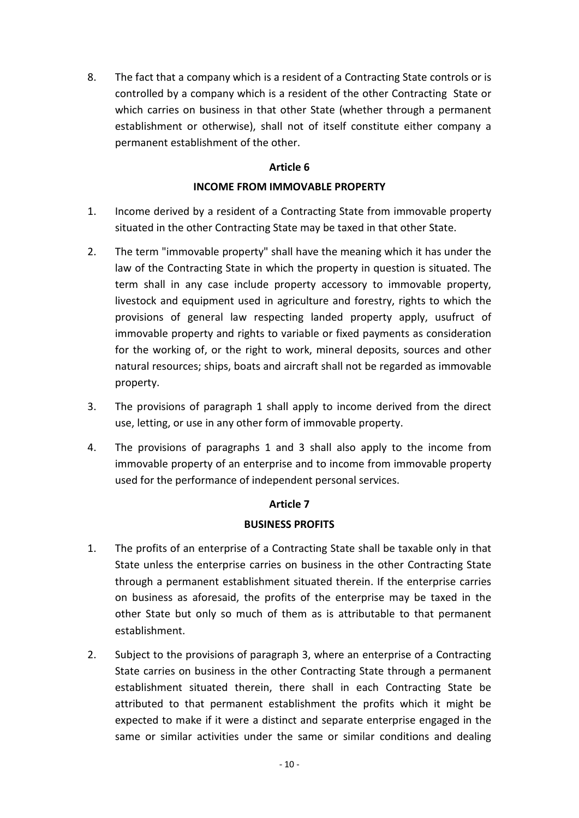8. The fact that a company which is a resident of a Contracting State controls or is controlled by a company which is a resident of the other Contracting State or which carries on business in that other State (whether through a permanent establishment or otherwise), shall not of itself constitute either company a permanent establishment of the other.

#### **Article 6**

#### **INCOME FROM IMMOVABLE PROPERTY**

- 1. Income derived by a resident of a Contracting State from immovable property situated in the other Contracting State may be taxed in that other State.
- 2. The term "immovable property" shall have the meaning which it has under the law of the Contracting State in which the property in question is situated. The term shall in any case include property accessory to immovable property, livestock and equipment used in agriculture and forestry, rights to which the provisions of general law respecting landed property apply, usufruct of immovable property and rights to variable or fixed payments as consideration for the working of, or the right to work, mineral deposits, sources and other natural resources; ships, boats and aircraft shall not be regarded as immovable property.
- 3. The provisions of paragraph 1 shall apply to income derived from the direct use, letting, or use in any other form of immovable property.
- 4. The provisions of paragraphs 1 and 3 shall also apply to the income from immovable property of an enterprise and to income from immovable property used for the performance of independent personal services.

## **Article 7**

#### **BUSINESS PROFITS**

- 1. The profits of an enterprise of a Contracting State shall be taxable only in that State unless the enterprise carries on business in the other Contracting State through a permanent establishment situated therein. If the enterprise carries on business as aforesaid, the profits of the enterprise may be taxed in the other State but only so much of them as is attributable to that permanent establishment.
- 2. Subject to the provisions of paragraph 3, where an enterprise of a Contracting State carries on business in the other Contracting State through a permanent establishment situated therein, there shall in each Contracting State be attributed to that permanent establishment the profits which it might be expected to make if it were a distinct and separate enterprise engaged in the same or similar activities under the same or similar conditions and dealing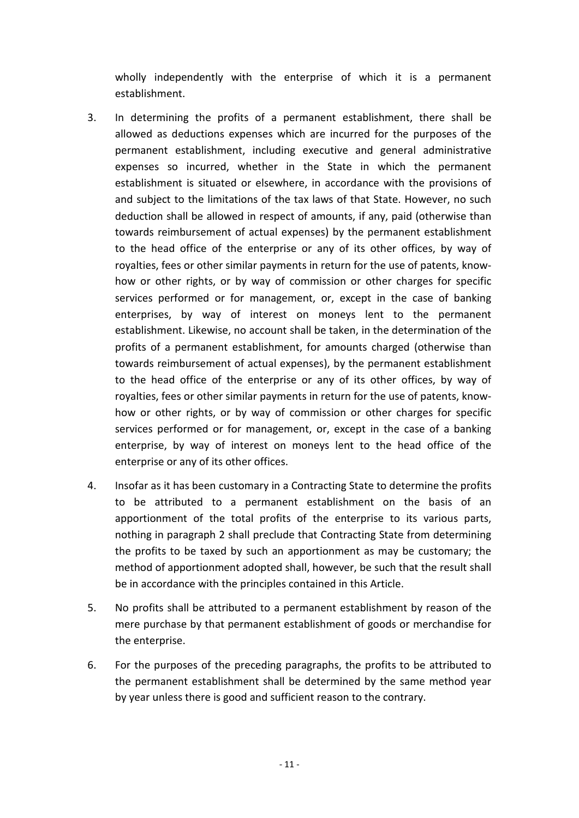wholly independently with the enterprise of which it is a permanent establishment.

- 3. In determining the profits of a permanent establishment, there shall be allowed as deductions expenses which are incurred for the purposes of the permanent establishment, including executive and general administrative expenses so incurred, whether in the State in which the permanent establishment is situated or elsewhere, in accordance with the provisions of and subject to the limitations of the tax laws of that State. However, no such deduction shall be allowed in respect of amounts, if any, paid (otherwise than towards reimbursement of actual expenses) by the permanent establishment to the head office of the enterprise or any of its other offices, by way of royalties, fees or other similar payments in return for the use of patents, knowhow or other rights, or by way of commission or other charges for specific services performed or for management, or, except in the case of banking enterprises, by way of interest on moneys lent to the permanent establishment. Likewise, no account shall be taken, in the determination of the profits of a permanent establishment, for amounts charged (otherwise than towards reimbursement of actual expenses), by the permanent establishment to the head office of the enterprise or any of its other offices, by way of royalties, fees or other similar payments in return for the use of patents, knowhow or other rights, or by way of commission or other charges for specific services performed or for management, or, except in the case of a banking enterprise, by way of interest on moneys lent to the head office of the enterprise or any of its other offices.
- 4. Insofar as it has been customary in a Contracting State to determine the profits to be attributed to a permanent establishment on the basis of an apportionment of the total profits of the enterprise to its various parts, nothing in paragraph 2 shall preclude that Contracting State from determining the profits to be taxed by such an apportionment as may be customary; the method of apportionment adopted shall, however, be such that the result shall be in accordance with the principles contained in this Article.
- 5. No profits shall be attributed to a permanent establishment by reason of the mere purchase by that permanent establishment of goods or merchandise for the enterprise.
- 6. For the purposes of the preceding paragraphs, the profits to be attributed to the permanent establishment shall be determined by the same method year by year unless there is good and sufficient reason to the contrary.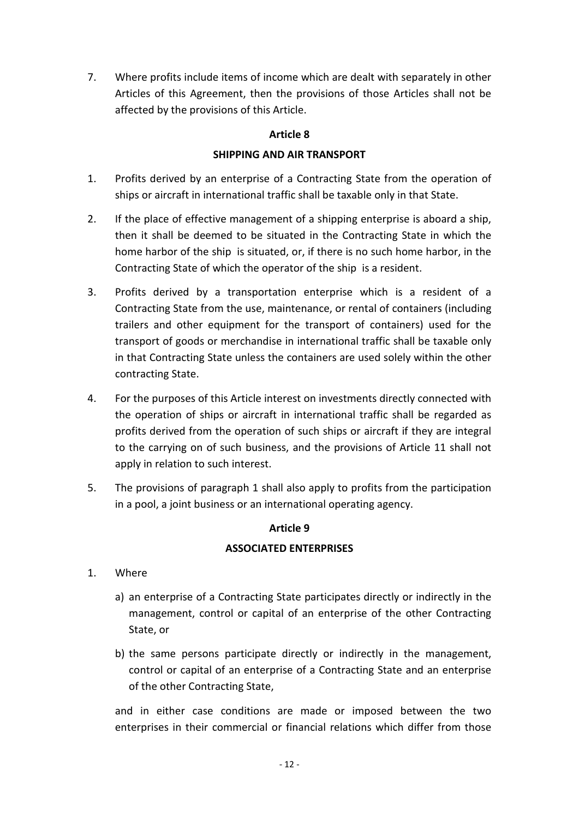7. Where profits include items of income which are dealt with separately in other Articles of this Agreement, then the provisions of those Articles shall not be affected by the provisions of this Article.

#### **Article 8**

## **SHIPPING AND AIR TRANSPORT**

- 1. Profits derived by an enterprise of a Contracting State from the operation of ships or aircraft in international traffic shall be taxable only in that State.
- 2. If the place of effective management of a shipping enterprise is aboard a ship, then it shall be deemed to be situated in the Contracting State in which the home harbor of the ship is situated, or, if there is no such home harbor, in the Contracting State of which the operator of the ship is a resident.
- 3. Profits derived by a transportation enterprise which is a resident of a Contracting State from the use, maintenance, or rental of containers (including trailers and other equipment for the transport of containers) used for the transport of goods or merchandise in international traffic shall be taxable only in that Contracting State unless the containers are used solely within the other contracting State.
- 4. For the purposes of this Article interest on investments directly connected with the operation of ships or aircraft in international traffic shall be regarded as profits derived from the operation of such ships or aircraft if they are integral to the carrying on of such business, and the provisions of Article 11 shall not apply in relation to such interest.
- 5. The provisions of paragraph 1 shall also apply to profits from the participation in a pool, a joint business or an international operating agency.

# **Article 9**

## **ASSOCIATED ENTERPRISES**

- 1. Where
	- a) an enterprise of a Contracting State participates directly or indirectly in the management, control or capital of an enterprise of the other Contracting State, or
	- b) the same persons participate directly or indirectly in the management, control or capital of an enterprise of a Contracting State and an enterprise of the other Contracting State,

and in either case conditions are made or imposed between the two enterprises in their commercial or financial relations which differ from those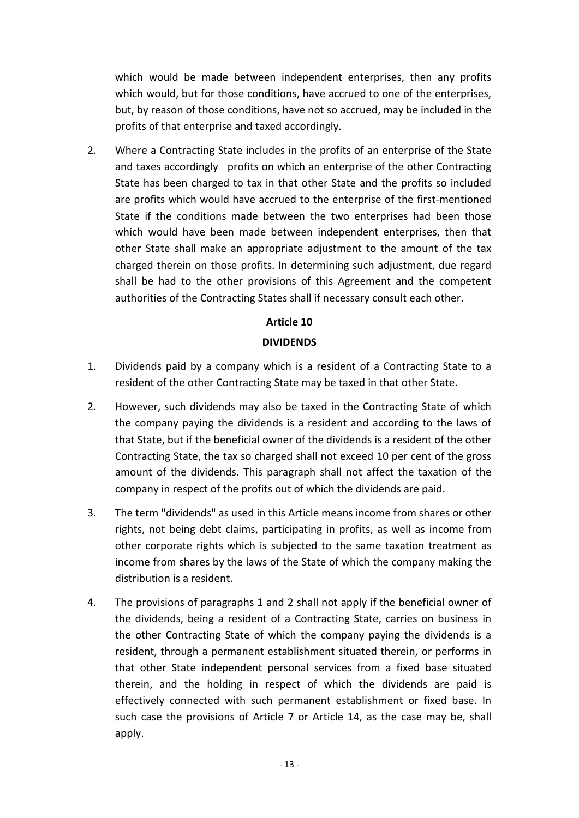which would be made between independent enterprises, then any profits which would, but for those conditions, have accrued to one of the enterprises, but, by reason of those conditions, have not so accrued, may be included in the profits of that enterprise and taxed accordingly.

2. Where a Contracting State includes in the profits of an enterprise of the State and taxes accordingly profits on which an enterprise of the other Contracting State has been charged to tax in that other State and the profits so included are profits which would have accrued to the enterprise of the first-mentioned State if the conditions made between the two enterprises had been those which would have been made between independent enterprises, then that other State shall make an appropriate adjustment to the amount of the tax charged therein on those profits. In determining such adjustment, due regard shall be had to the other provisions of this Agreement and the competent authorities of the Contracting States shall if necessary consult each other.

# **Article 10**

## **DIVIDENDS**

- 1. Dividends paid by a company which is a resident of a Contracting State to a resident of the other Contracting State may be taxed in that other State.
- 2. However, such dividends may also be taxed in the Contracting State of which the company paying the dividends is a resident and according to the laws of that State, but if the beneficial owner of the dividends is a resident of the other Contracting State, the tax so charged shall not exceed 10 per cent of the gross amount of the dividends. This paragraph shall not affect the taxation of the company in respect of the profits out of which the dividends are paid.
- 3. The term "dividends" as used in this Article means income from shares or other rights, not being debt claims, participating in profits, as well as income from other corporate rights which is subjected to the same taxation treatment as income from shares by the laws of the State of which the company making the distribution is a resident.
- 4. The provisions of paragraphs 1 and 2 shall not apply if the beneficial owner of the dividends, being a resident of a Contracting State, carries on business in the other Contracting State of which the company paying the dividends is a resident, through a permanent establishment situated therein, or performs in that other State independent personal services from a fixed base situated therein, and the holding in respect of which the dividends are paid is effectively connected with such permanent establishment or fixed base. In such case the provisions of Article 7 or Article 14, as the case may be, shall apply.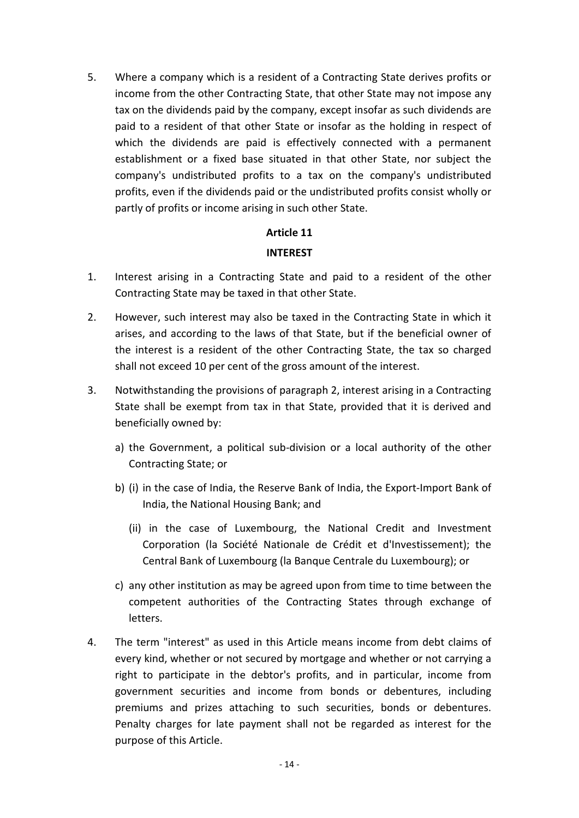5. Where a company which is a resident of a Contracting State derives profits or income from the other Contracting State, that other State may not impose any tax on the dividends paid by the company, except insofar as such dividends are paid to a resident of that other State or insofar as the holding in respect of which the dividends are paid is effectively connected with a permanent establishment or a fixed base situated in that other State, nor subject the company's undistributed profits to a tax on the company's undistributed profits, even if the dividends paid or the undistributed profits consist wholly or partly of profits or income arising in such other State.

#### **Article 11**

#### **INTEREST**

- 1. Interest arising in a Contracting State and paid to a resident of the other Contracting State may be taxed in that other State.
- 2. However, such interest may also be taxed in the Contracting State in which it arises, and according to the laws of that State, but if the beneficial owner of the interest is a resident of the other Contracting State, the tax so charged shall not exceed 10 per cent of the gross amount of the interest.
- 3. Notwithstanding the provisions of paragraph 2, interest arising in a Contracting State shall be exempt from tax in that State, provided that it is derived and beneficially owned by:
	- a) the Government, a political sub-division or a local authority of the other Contracting State; or
	- b) (i) in the case of India, the Reserve Bank of India, the Export-Import Bank of India, the National Housing Bank; and
		- (ii) in the case of Luxembourg, the National Credit and Investment Corporation (la Société Nationale de Crédit et d'Investissement); the Central Bank of Luxembourg (la Banque Centrale du Luxembourg); or
	- c) any other institution as may be agreed upon from time to time between the competent authorities of the Contracting States through exchange of letters.
- 4. The term "interest" as used in this Article means income from debt claims of every kind, whether or not secured by mortgage and whether or not carrying a right to participate in the debtor's profits, and in particular, income from government securities and income from bonds or debentures, including premiums and prizes attaching to such securities, bonds or debentures. Penalty charges for late payment shall not be regarded as interest for the purpose of this Article.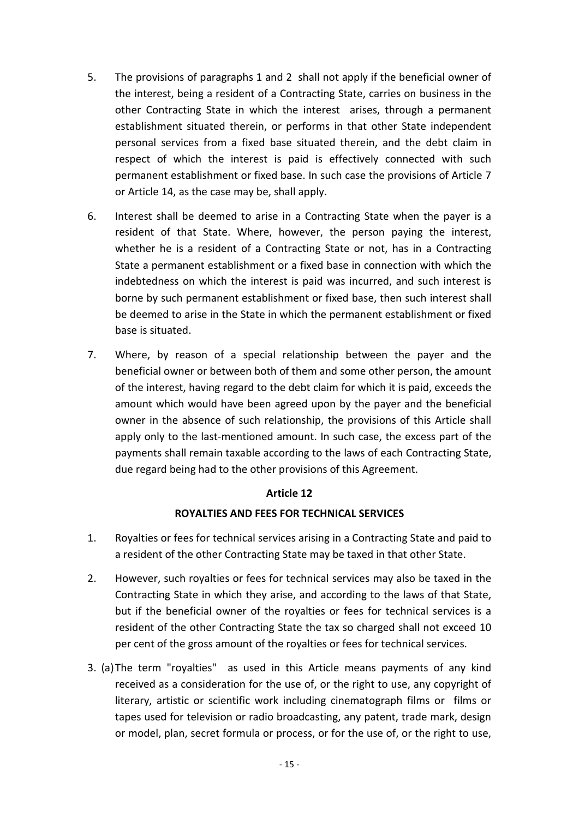- 5. The provisions of paragraphs 1 and 2 shall not apply if the beneficial owner of the interest, being a resident of a Contracting State, carries on business in the other Contracting State in which the interest arises, through a permanent establishment situated therein, or performs in that other State independent personal services from a fixed base situated therein, and the debt claim in respect of which the interest is paid is effectively connected with such permanent establishment or fixed base. In such case the provisions of Article 7 or Article 14, as the case may be, shall apply.
- 6. Interest shall be deemed to arise in a Contracting State when the payer is a resident of that State. Where, however, the person paying the interest, whether he is a resident of a Contracting State or not, has in a Contracting State a permanent establishment or a fixed base in connection with which the indebtedness on which the interest is paid was incurred, and such interest is borne by such permanent establishment or fixed base, then such interest shall be deemed to arise in the State in which the permanent establishment or fixed base is situated.
- 7. Where, by reason of a special relationship between the payer and the beneficial owner or between both of them and some other person, the amount of the interest, having regard to the debt claim for which it is paid, exceeds the amount which would have been agreed upon by the payer and the beneficial owner in the absence of such relationship, the provisions of this Article shall apply only to the last-mentioned amount. In such case, the excess part of the payments shall remain taxable according to the laws of each Contracting State, due regard being had to the other provisions of this Agreement.

#### **ROYALTIES AND FEES FOR TECHNICAL SERVICES**

- 1. Royalties or fees for technical services arising in a Contracting State and paid to a resident of the other Contracting State may be taxed in that other State.
- 2. However, such royalties or fees for technical services may also be taxed in the Contracting State in which they arise, and according to the laws of that State, but if the beneficial owner of the royalties or fees for technical services is a resident of the other Contracting State the tax so charged shall not exceed 10 per cent of the gross amount of the royalties or fees for technical services.
- 3. (a)The term "royalties" as used in this Article means payments of any kind received as a consideration for the use of, or the right to use, any copyright of literary, artistic or scientific work including cinematograph films or films or tapes used for television or radio broadcasting, any patent, trade mark, design or model, plan, secret formula or process, or for the use of, or the right to use,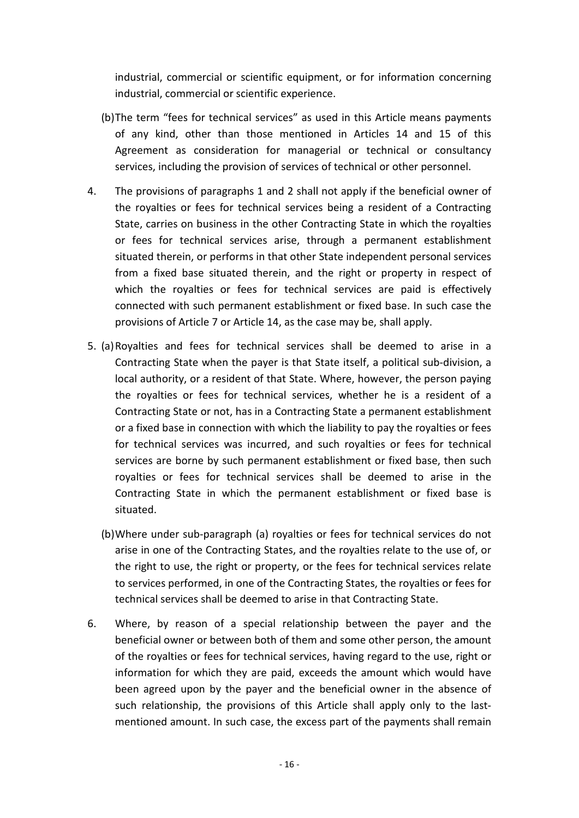industrial, commercial or scientific equipment, or for information concerning industrial, commercial or scientific experience.

- (b)The term "fees for technical services" as used in this Article means payments of any kind, other than those mentioned in Articles 14 and 15 of this Agreement as consideration for managerial or technical or consultancy services, including the provision of services of technical or other personnel.
- 4. The provisions of paragraphs 1 and 2 shall not apply if the beneficial owner of the royalties or fees for technical services being a resident of a Contracting State, carries on business in the other Contracting State in which the royalties or fees for technical services arise, through a permanent establishment situated therein, or performs in that other State independent personal services from a fixed base situated therein, and the right or property in respect of which the royalties or fees for technical services are paid is effectively connected with such permanent establishment or fixed base. In such case the provisions of Article 7 or Article 14, as the case may be, shall apply.
- 5. (a)Royalties and fees for technical services shall be deemed to arise in a Contracting State when the payer is that State itself, a political sub-division, a local authority, or a resident of that State. Where, however, the person paying the royalties or fees for technical services, whether he is a resident of a Contracting State or not, has in a Contracting State a permanent establishment or a fixed base in connection with which the liability to pay the royalties or fees for technical services was incurred, and such royalties or fees for technical services are borne by such permanent establishment or fixed base, then such royalties or fees for technical services shall be deemed to arise in the Contracting State in which the permanent establishment or fixed base is situated.
	- (b)Where under sub-paragraph (a) royalties or fees for technical services do not arise in one of the Contracting States, and the royalties relate to the use of, or the right to use, the right or property, or the fees for technical services relate to services performed, in one of the Contracting States, the royalties or fees for technical services shall be deemed to arise in that Contracting State.
- 6. Where, by reason of a special relationship between the payer and the beneficial owner or between both of them and some other person, the amount of the royalties or fees for technical services, having regard to the use, right or information for which they are paid, exceeds the amount which would have been agreed upon by the payer and the beneficial owner in the absence of such relationship, the provisions of this Article shall apply only to the lastmentioned amount. In such case, the excess part of the payments shall remain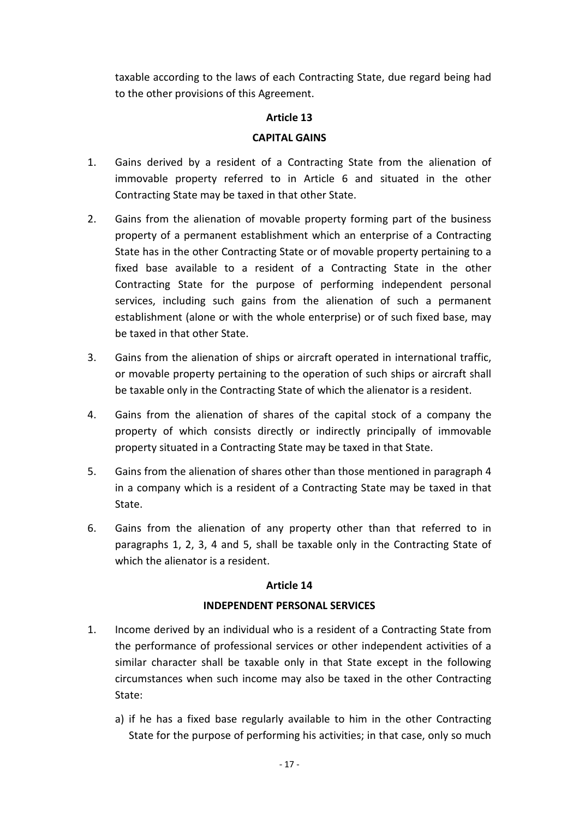taxable according to the laws of each Contracting State, due regard being had to the other provisions of this Agreement.

## **Article 13**

## **CAPITAL GAINS**

- 1. Gains derived by a resident of a Contracting State from the alienation of immovable property referred to in Article 6 and situated in the other Contracting State may be taxed in that other State.
- 2. Gains from the alienation of movable property forming part of the business property of a permanent establishment which an enterprise of a Contracting State has in the other Contracting State or of movable property pertaining to a fixed base available to a resident of a Contracting State in the other Contracting State for the purpose of performing independent personal services, including such gains from the alienation of such a permanent establishment (alone or with the whole enterprise) or of such fixed base, may be taxed in that other State.
- 3. Gains from the alienation of ships or aircraft operated in international traffic, or movable property pertaining to the operation of such ships or aircraft shall be taxable only in the Contracting State of which the alienator is a resident.
- 4. Gains from the alienation of shares of the capital stock of a company the property of which consists directly or indirectly principally of immovable property situated in a Contracting State may be taxed in that State.
- 5. Gains from the alienation of shares other than those mentioned in paragraph 4 in a company which is a resident of a Contracting State may be taxed in that State.
- 6. Gains from the alienation of any property other than that referred to in paragraphs 1, 2, 3, 4 and 5, shall be taxable only in the Contracting State of which the alienator is a resident.

## **Article 14**

#### **INDEPENDENT PERSONAL SERVICES**

- 1. Income derived by an individual who is a resident of a Contracting State from the performance of professional services or other independent activities of a similar character shall be taxable only in that State except in the following circumstances when such income may also be taxed in the other Contracting State:
	- a) if he has a fixed base regularly available to him in the other Contracting State for the purpose of performing his activities; in that case, only so much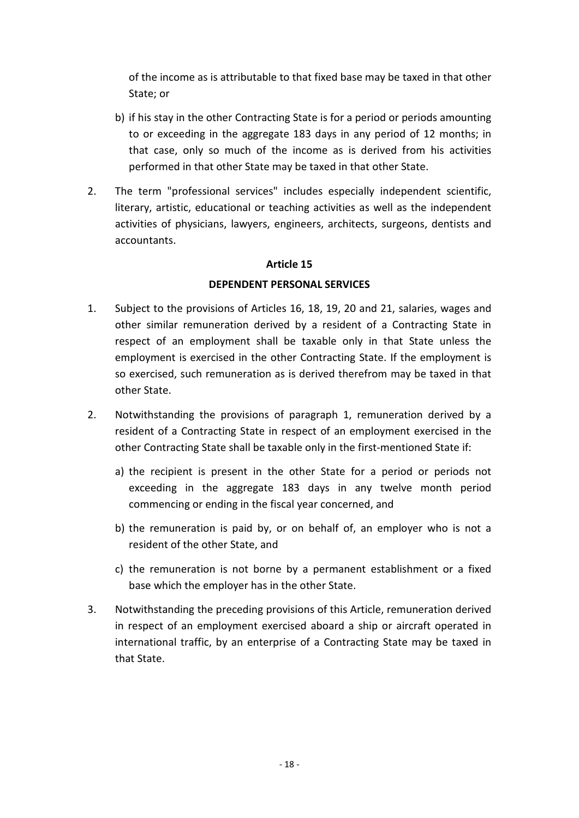of the income as is attributable to that fixed base may be taxed in that other State; or

- b) if his stay in the other Contracting State is for a period or periods amounting to or exceeding in the aggregate 183 days in any period of 12 months; in that case, only so much of the income as is derived from his activities performed in that other State may be taxed in that other State.
- 2. The term "professional services" includes especially independent scientific, literary, artistic, educational or teaching activities as well as the independent activities of physicians, lawyers, engineers, architects, surgeons, dentists and accountants.

#### **Article 15**

#### **DEPENDENT PERSONAL SERVICES**

- 1. Subject to the provisions of Articles 16, 18, 19, 20 and 21, salaries, wages and other similar remuneration derived by a resident of a Contracting State in respect of an employment shall be taxable only in that State unless the employment is exercised in the other Contracting State. If the employment is so exercised, such remuneration as is derived therefrom may be taxed in that other State.
- 2. Notwithstanding the provisions of paragraph 1, remuneration derived by a resident of a Contracting State in respect of an employment exercised in the other Contracting State shall be taxable only in the first-mentioned State if:
	- a) the recipient is present in the other State for a period or periods not exceeding in the aggregate 183 days in any twelve month period commencing or ending in the fiscal year concerned, and
	- b) the remuneration is paid by, or on behalf of, an employer who is not a resident of the other State, and
	- c) the remuneration is not borne by a permanent establishment or a fixed base which the employer has in the other State.
- 3. Notwithstanding the preceding provisions of this Article, remuneration derived in respect of an employment exercised aboard a ship or aircraft operated in international traffic, by an enterprise of a Contracting State may be taxed in that State.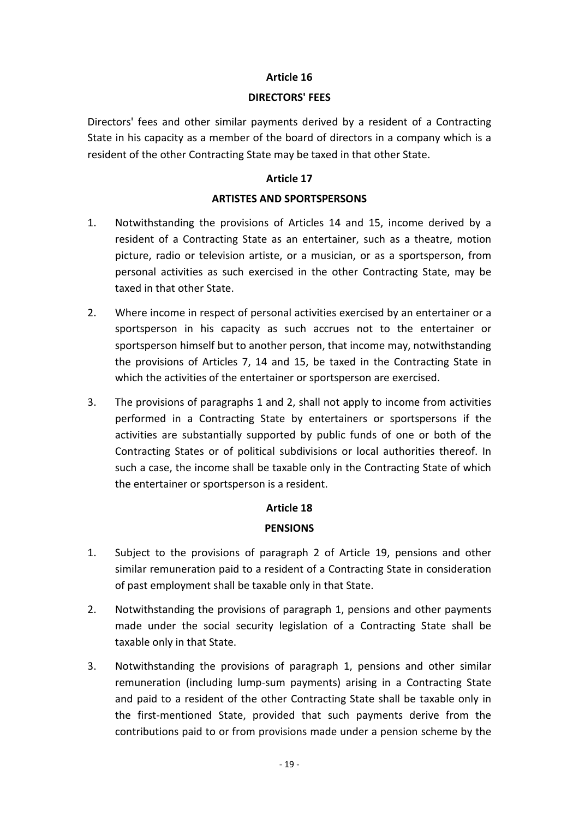#### **DIRECTORS' FEES**

Directors' fees and other similar payments derived by a resident of a Contracting State in his capacity as a member of the board of directors in a company which is a resident of the other Contracting State may be taxed in that other State.

## **Article 17**

## **ARTISTES AND SPORTSPERSONS**

- 1. Notwithstanding the provisions of Articles 14 and 15, income derived by a resident of a Contracting State as an entertainer, such as a theatre, motion picture, radio or television artiste, or a musician, or as a sportsperson, from personal activities as such exercised in the other Contracting State, may be taxed in that other State.
- 2. Where income in respect of personal activities exercised by an entertainer or a sportsperson in his capacity as such accrues not to the entertainer or sportsperson himself but to another person, that income may, notwithstanding the provisions of Articles 7, 14 and 15, be taxed in the Contracting State in which the activities of the entertainer or sportsperson are exercised.
- 3. The provisions of paragraphs 1 and 2, shall not apply to income from activities performed in a Contracting State by entertainers or sportspersons if the activities are substantially supported by public funds of one or both of the Contracting States or of political subdivisions or local authorities thereof. In such a case, the income shall be taxable only in the Contracting State of which the entertainer or sportsperson is a resident.

## **Article 18**

## **PENSIONS**

- 1. Subject to the provisions of paragraph 2 of Article 19, pensions and other similar remuneration paid to a resident of a Contracting State in consideration of past employment shall be taxable only in that State.
- 2. Notwithstanding the provisions of paragraph 1, pensions and other payments made under the social security legislation of a Contracting State shall be taxable only in that State.
- 3. Notwithstanding the provisions of paragraph 1, pensions and other similar remuneration (including lump-sum payments) arising in a Contracting State and paid to a resident of the other Contracting State shall be taxable only in the first-mentioned State, provided that such payments derive from the contributions paid to or from provisions made under a pension scheme by the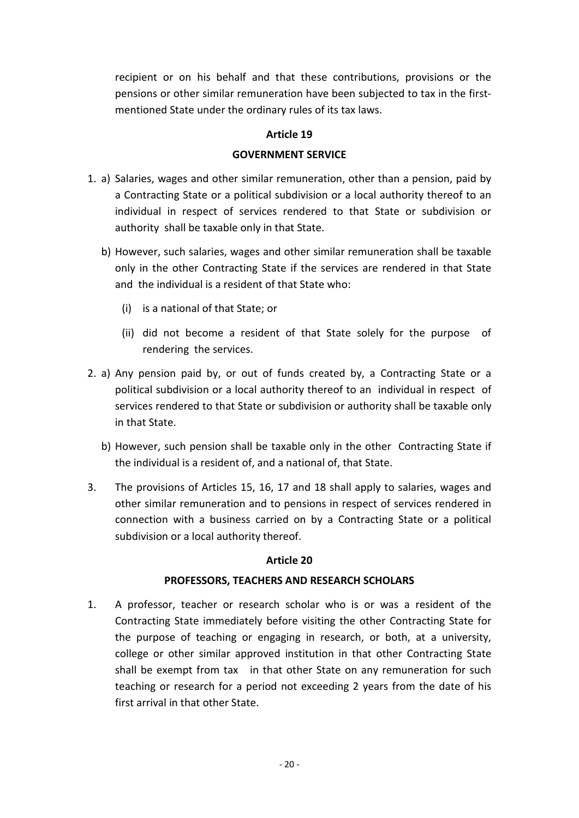recipient or on his behalf and that these contributions, provisions or the pensions or other similar remuneration have been subjected to tax in the firstmentioned State under the ordinary rules of its tax laws.

#### **Article 19**

#### **GOVERNMENT SERVICE**

- 1. a) Salaries, wages and other similar remuneration, other than a pension, paid by a Contracting State or a political subdivision or a local authority thereof to an individual in respect of services rendered to that State or subdivision or authority shall be taxable only in that State.
	- b) However, such salaries, wages and other similar remuneration shall be taxable only in the other Contracting State if the services are rendered in that State and the individual is a resident of that State who:
		- (i) is a national of that State; or
		- (ii) did not become a resident of that State solely for the purpose of rendering the services.
- 2. a) Any pension paid by, or out of funds created by, a Contracting State or a political subdivision or a local authority thereof to an individual in respect of services rendered to that State or subdivision or authority shall be taxable only in that State.
	- b) However, such pension shall be taxable only in the other Contracting State if the individual is a resident of, and a national of, that State.
- 3. The provisions of Articles 15, 16, 17 and 18 shall apply to salaries, wages and other similar remuneration and to pensions in respect of services rendered in connection with a business carried on by a Contracting State or a political subdivision or a local authority thereof.

## **Article 20**

## **PROFESSORS, TEACHERS AND RESEARCH SCHOLARS**

1. A professor, teacher or research scholar who is or was a resident of the Contracting State immediately before visiting the other Contracting State for the purpose of teaching or engaging in research, or both, at a university, college or other similar approved institution in that other Contracting State shall be exempt from tax in that other State on any remuneration for such teaching or research for a period not exceeding 2 years from the date of his first arrival in that other State.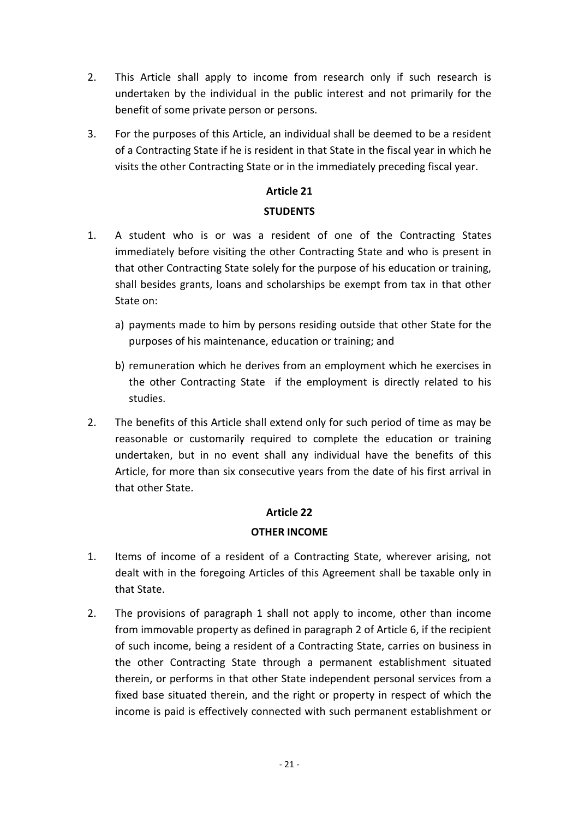- 2. This Article shall apply to income from research only if such research is undertaken by the individual in the public interest and not primarily for the benefit of some private person or persons.
- 3. For the purposes of this Article, an individual shall be deemed to be a resident of a Contracting State if he is resident in that State in the fiscal year in which he visits the other Contracting State or in the immediately preceding fiscal year.

# **Article 21 STUDENTS**

- 1. A student who is or was a resident of one of the Contracting States immediately before visiting the other Contracting State and who is present in that other Contracting State solely for the purpose of his education or training, shall besides grants, loans and scholarships be exempt from tax in that other State on:
	- a) payments made to him by persons residing outside that other State for the purposes of his maintenance, education or training; and
	- b) remuneration which he derives from an employment which he exercises in the other Contracting State if the employment is directly related to his studies.
- 2. The benefits of this Article shall extend only for such period of time as may be reasonable or customarily required to complete the education or training undertaken, but in no event shall any individual have the benefits of this Article, for more than six consecutive years from the date of his first arrival in that other State.

# **Article 22**

## **OTHER INCOME**

- 1. Items of income of a resident of a Contracting State, wherever arising, not dealt with in the foregoing Articles of this Agreement shall be taxable only in that State.
- 2. The provisions of paragraph 1 shall not apply to income, other than income from immovable property as defined in paragraph 2 of Article 6, if the recipient of such income, being a resident of a Contracting State, carries on business in the other Contracting State through a permanent establishment situated therein, or performs in that other State independent personal services from a fixed base situated therein, and the right or property in respect of which the income is paid is effectively connected with such permanent establishment or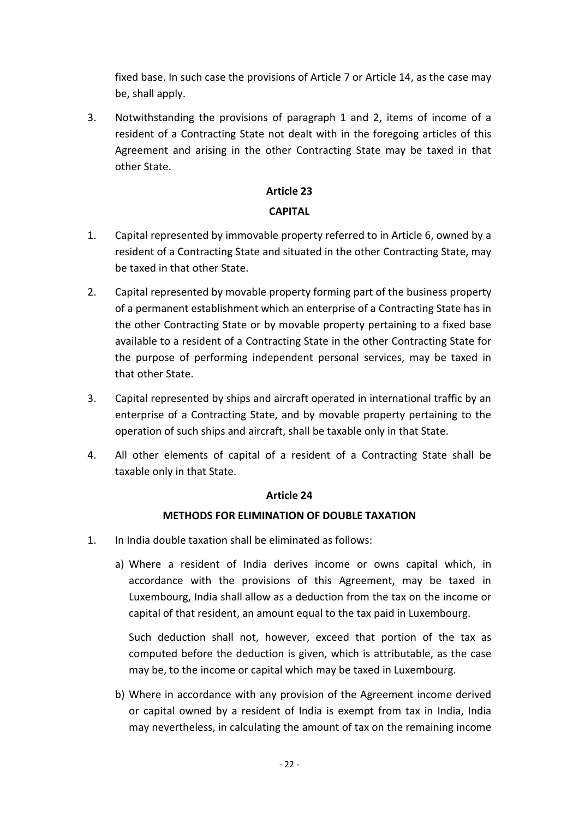fixed base. In such case the provisions of Article 7 or Article 14, as the case may be, shall apply.

3. Notwithstanding the provisions of paragraph 1 and 2, items of income of a resident of a Contracting State not dealt with in the foregoing articles of this Agreement and arising in the other Contracting State may be taxed in that other State.

## **Article 23 CAPITAL**

- 1. Capital represented by immovable property referred to in Article 6, owned by a resident of a Contracting State and situated in the other Contracting State, may be taxed in that other State.
- 2. Capital represented by movable property forming part of the business property of a permanent establishment which an enterprise of a Contracting State has in the other Contracting State or by movable property pertaining to a fixed base available to a resident of a Contracting State in the other Contracting State for the purpose of performing independent personal services, may be taxed in that other State.
- 3. Capital represented by ships and aircraft operated in international traffic by an enterprise of a Contracting State, and by movable property pertaining to the operation of such ships and aircraft, shall be taxable only in that State.
- 4. All other elements of capital of a resident of a Contracting State shall be taxable only in that State.

## **Article 24**

## **METHODS FOR ELIMINATION OF DOUBLE TAXATION**

- 1. In India double taxation shall be eliminated as follows:
	- a) Where a resident of India derives income or owns capital which, in accordance with the provisions of this Agreement, may be taxed in Luxembourg, India shall allow as a deduction from the tax on the income or capital of that resident, an amount equal to the tax paid in Luxembourg.

Such deduction shall not, however, exceed that portion of the tax as computed before the deduction is given, which is attributable, as the case may be, to the income or capital which may be taxed in Luxembourg.

b) Where in accordance with any provision of the Agreement income derived or capital owned by a resident of India is exempt from tax in India, India may nevertheless, in calculating the amount of tax on the remaining income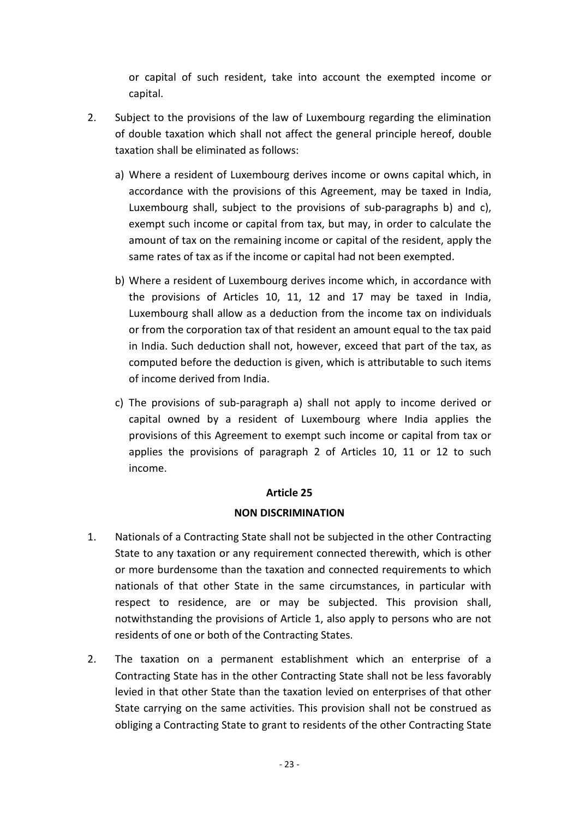or capital of such resident, take into account the exempted income or capital.

- 2. Subject to the provisions of the law of Luxembourg regarding the elimination of double taxation which shall not affect the general principle hereof, double taxation shall be eliminated as follows:
	- a) Where a resident of Luxembourg derives income or owns capital which, in accordance with the provisions of this Agreement, may be taxed in India, Luxembourg shall, subject to the provisions of sub-paragraphs b) and c), exempt such income or capital from tax, but may, in order to calculate the amount of tax on the remaining income or capital of the resident, apply the same rates of tax as if the income or capital had not been exempted.
	- b) Where a resident of Luxembourg derives income which, in accordance with the provisions of Articles 10, 11, 12 and 17 may be taxed in India, Luxembourg shall allow as a deduction from the income tax on individuals or from the corporation tax of that resident an amount equal to the tax paid in India. Such deduction shall not, however, exceed that part of the tax, as computed before the deduction is given, which is attributable to such items of income derived from India.
	- c) The provisions of sub-paragraph a) shall not apply to income derived or capital owned by a resident of Luxembourg where India applies the provisions of this Agreement to exempt such income or capital from tax or applies the provisions of paragraph 2 of Articles 10, 11 or 12 to such income.

#### **Article 25**

## **NON DISCRIMINATION**

- 1. Nationals of a Contracting State shall not be subjected in the other Contracting State to any taxation or any requirement connected therewith, which is other or more burdensome than the taxation and connected requirements to which nationals of that other State in the same circumstances, in particular with respect to residence, are or may be subjected. This provision shall, notwithstanding the provisions of Article 1, also apply to persons who are not residents of one or both of the Contracting States.
- 2. The taxation on a permanent establishment which an enterprise of a Contracting State has in the other Contracting State shall not be less favorably levied in that other State than the taxation levied on enterprises of that other State carrying on the same activities. This provision shall not be construed as obliging a Contracting State to grant to residents of the other Contracting State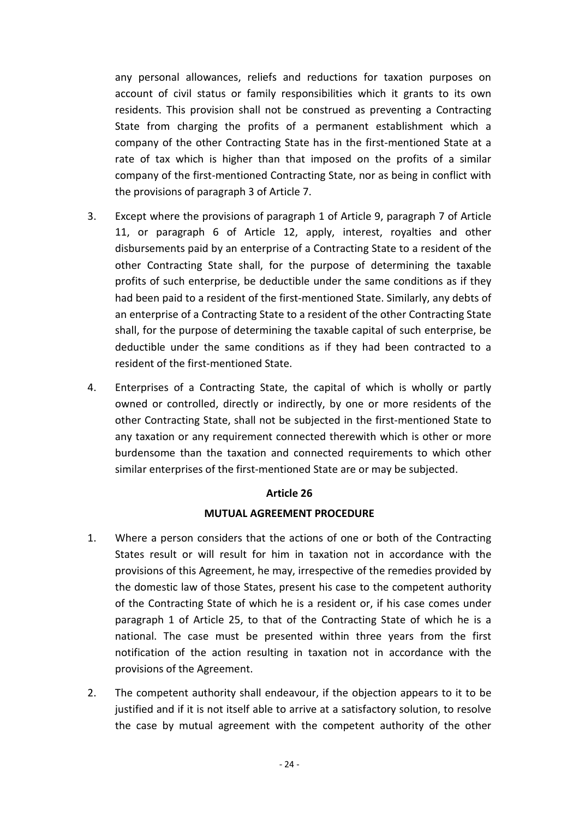any personal allowances, reliefs and reductions for taxation purposes on account of civil status or family responsibilities which it grants to its own residents. This provision shall not be construed as preventing a Contracting State from charging the profits of a permanent establishment which a company of the other Contracting State has in the first-mentioned State at a rate of tax which is higher than that imposed on the profits of a similar company of the first-mentioned Contracting State, nor as being in conflict with the provisions of paragraph 3 of Article 7.

- 3. Except where the provisions of paragraph 1 of Article 9, paragraph 7 of Article 11, or paragraph 6 of Article 12, apply, interest, royalties and other disbursements paid by an enterprise of a Contracting State to a resident of the other Contracting State shall, for the purpose of determining the taxable profits of such enterprise, be deductible under the same conditions as if they had been paid to a resident of the first-mentioned State. Similarly, any debts of an enterprise of a Contracting State to a resident of the other Contracting State shall, for the purpose of determining the taxable capital of such enterprise, be deductible under the same conditions as if they had been contracted to a resident of the first-mentioned State.
- 4. Enterprises of a Contracting State, the capital of which is wholly or partly owned or controlled, directly or indirectly, by one or more residents of the other Contracting State, shall not be subjected in the first-mentioned State to any taxation or any requirement connected therewith which is other or more burdensome than the taxation and connected requirements to which other similar enterprises of the first-mentioned State are or may be subjected.

#### **Article 26**

#### **MUTUAL AGREEMENT PROCEDURE**

- 1. Where a person considers that the actions of one or both of the Contracting States result or will result for him in taxation not in accordance with the provisions of this Agreement, he may, irrespective of the remedies provided by the domestic law of those States, present his case to the competent authority of the Contracting State of which he is a resident or, if his case comes under paragraph 1 of Article 25, to that of the Contracting State of which he is a national. The case must be presented within three years from the first notification of the action resulting in taxation not in accordance with the provisions of the Agreement.
- 2. The competent authority shall endeavour, if the objection appears to it to be justified and if it is not itself able to arrive at a satisfactory solution, to resolve the case by mutual agreement with the competent authority of the other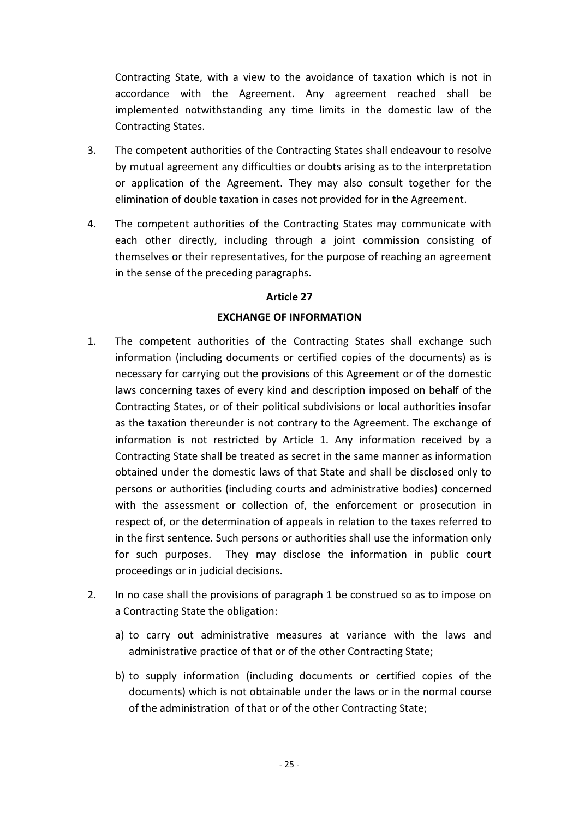Contracting State, with a view to the avoidance of taxation which is not in accordance with the Agreement. Any agreement reached shall be implemented notwithstanding any time limits in the domestic law of the Contracting States.

- 3. The competent authorities of the Contracting States shall endeavour to resolve by mutual agreement any difficulties or doubts arising as to the interpretation or application of the Agreement. They may also consult together for the elimination of double taxation in cases not provided for in the Agreement.
- 4. The competent authorities of the Contracting States may communicate with each other directly, including through a joint commission consisting of themselves or their representatives, for the purpose of reaching an agreement in the sense of the preceding paragraphs.

#### **Article 27**

#### **EXCHANGE OF INFORMATION**

- 1. The competent authorities of the Contracting States shall exchange such information (including documents or certified copies of the documents) as is necessary for carrying out the provisions of this Agreement or of the domestic laws concerning taxes of every kind and description imposed on behalf of the Contracting States, or of their political subdivisions or local authorities insofar as the taxation thereunder is not contrary to the Agreement. The exchange of information is not restricted by Article 1. Any information received by a Contracting State shall be treated as secret in the same manner as information obtained under the domestic laws of that State and shall be disclosed only to persons or authorities (including courts and administrative bodies) concerned with the assessment or collection of, the enforcement or prosecution in respect of, or the determination of appeals in relation to the taxes referred to in the first sentence. Such persons or authorities shall use the information only for such purposes. They may disclose the information in public court proceedings or in judicial decisions.
- 2. In no case shall the provisions of paragraph 1 be construed so as to impose on a Contracting State the obligation:
	- a) to carry out administrative measures at variance with the laws and administrative practice of that or of the other Contracting State;
	- b) to supply information (including documents or certified copies of the documents) which is not obtainable under the laws or in the normal course of the administration of that or of the other Contracting State;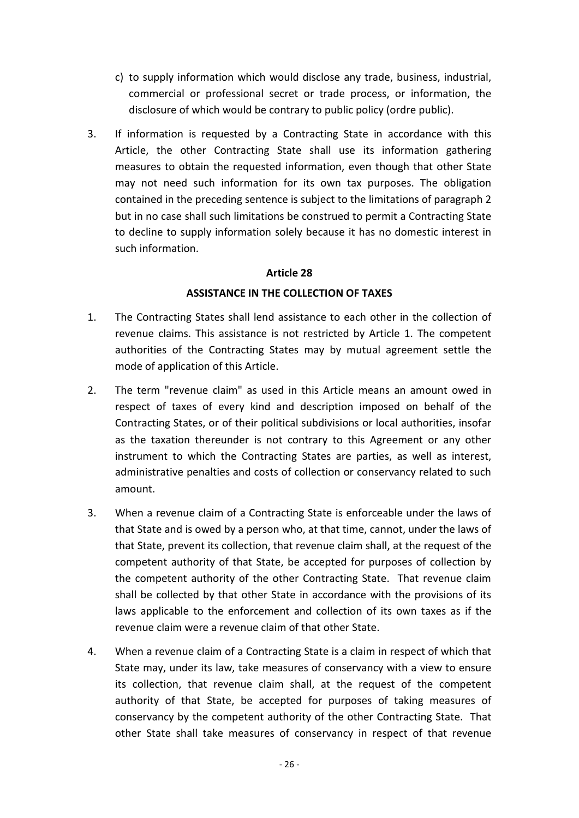- c) to supply information which would disclose any trade, business, industrial, commercial or professional secret or trade process, or information, the disclosure of which would be contrary to public policy (ordre public).
- 3. If information is requested by a Contracting State in accordance with this Article, the other Contracting State shall use its information gathering measures to obtain the requested information, even though that other State may not need such information for its own tax purposes. The obligation contained in the preceding sentence is subject to the limitations of paragraph 2 but in no case shall such limitations be construed to permit a Contracting State to decline to supply information solely because it has no domestic interest in such information.

#### **ASSISTANCE IN THE COLLECTION OF TAXES**

- 1. The Contracting States shall lend assistance to each other in the collection of revenue claims. This assistance is not restricted by Article 1. The competent authorities of the Contracting States may by mutual agreement settle the mode of application of this Article.
- 2. The term "revenue claim" as used in this Article means an amount owed in respect of taxes of every kind and description imposed on behalf of the Contracting States, or of their political subdivisions or local authorities, insofar as the taxation thereunder is not contrary to this Agreement or any other instrument to which the Contracting States are parties, as well as interest, administrative penalties and costs of collection or conservancy related to such amount.
- 3. When a revenue claim of a Contracting State is enforceable under the laws of that State and is owed by a person who, at that time, cannot, under the laws of that State, prevent its collection, that revenue claim shall, at the request of the competent authority of that State, be accepted for purposes of collection by the competent authority of the other Contracting State. That revenue claim shall be collected by that other State in accordance with the provisions of its laws applicable to the enforcement and collection of its own taxes as if the revenue claim were a revenue claim of that other State.
- 4. When a revenue claim of a Contracting State is a claim in respect of which that State may, under its law, take measures of conservancy with a view to ensure its collection, that revenue claim shall, at the request of the competent authority of that State, be accepted for purposes of taking measures of conservancy by the competent authority of the other Contracting State. That other State shall take measures of conservancy in respect of that revenue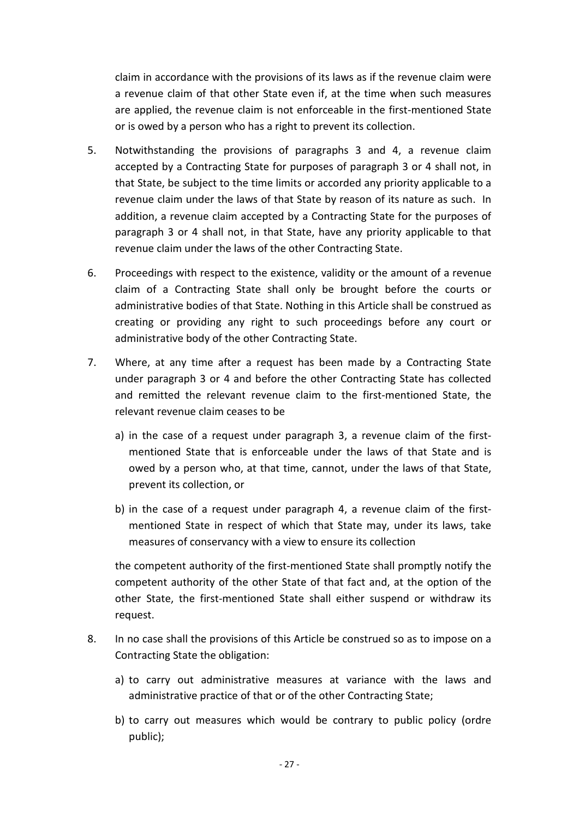claim in accordance with the provisions of its laws as if the revenue claim were a revenue claim of that other State even if, at the time when such measures are applied, the revenue claim is not enforceable in the first-mentioned State or is owed by a person who has a right to prevent its collection.

- 5. Notwithstanding the provisions of paragraphs 3 and 4, a revenue claim accepted by a Contracting State for purposes of paragraph 3 or 4 shall not, in that State, be subject to the time limits or accorded any priority applicable to a revenue claim under the laws of that State by reason of its nature as such. In addition, a revenue claim accepted by a Contracting State for the purposes of paragraph 3 or 4 shall not, in that State, have any priority applicable to that revenue claim under the laws of the other Contracting State.
- 6. Proceedings with respect to the existence, validity or the amount of a revenue claim of a Contracting State shall only be brought before the courts or administrative bodies of that State. Nothing in this Article shall be construed as creating or providing any right to such proceedings before any court or administrative body of the other Contracting State.
- 7. Where, at any time after a request has been made by a Contracting State under paragraph 3 or 4 and before the other Contracting State has collected and remitted the relevant revenue claim to the first-mentioned State, the relevant revenue claim ceases to be
	- a) in the case of a request under paragraph 3, a revenue claim of the firstmentioned State that is enforceable under the laws of that State and is owed by a person who, at that time, cannot, under the laws of that State, prevent its collection, or
	- b) in the case of a request under paragraph 4, a revenue claim of the firstmentioned State in respect of which that State may, under its laws, take measures of conservancy with a view to ensure its collection

the competent authority of the first-mentioned State shall promptly notify the competent authority of the other State of that fact and, at the option of the other State, the first-mentioned State shall either suspend or withdraw its request.

- 8. In no case shall the provisions of this Article be construed so as to impose on a Contracting State the obligation:
	- a) to carry out administrative measures at variance with the laws and administrative practice of that or of the other Contracting State;
	- b) to carry out measures which would be contrary to public policy (ordre public);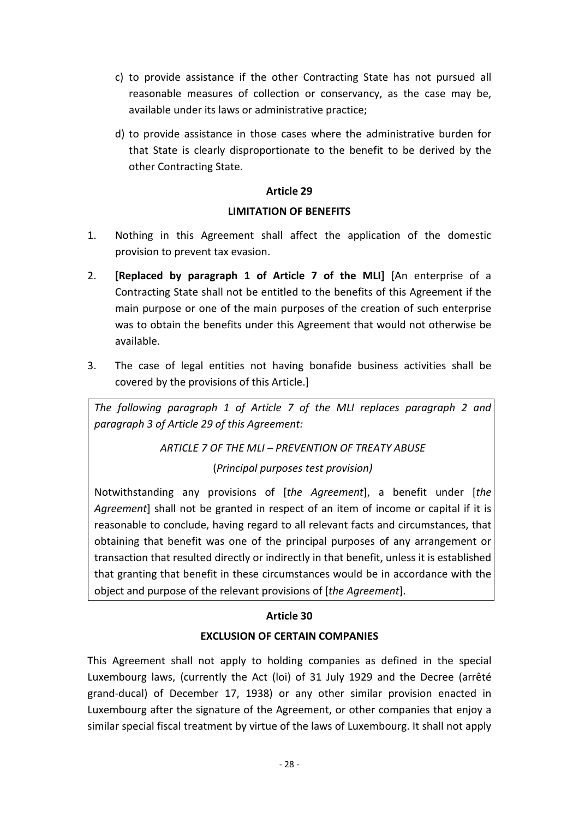- c) to provide assistance if the other Contracting State has not pursued all reasonable measures of collection or conservancy, as the case may be, available under its laws or administrative practice;
- d) to provide assistance in those cases where the administrative burden for that State is clearly disproportionate to the benefit to be derived by the other Contracting State.

#### **LIMITATION OF BENEFITS**

- 1. Nothing in this Agreement shall affect the application of the domestic provision to prevent tax evasion.
- 2. **[Replaced by paragraph 1 of Article 7 of the MLI]** [An enterprise of a Contracting State shall not be entitled to the benefits of this Agreement if the main purpose or one of the main purposes of the creation of such enterprise was to obtain the benefits under this Agreement that would not otherwise be available.
- 3. The case of legal entities not having bonafide business activities shall be covered by the provisions of this Article.]

*The following paragraph 1 of Article 7 of the MLI replaces paragraph 2 and paragraph 3 of Article 29 of this Agreement:*

## *ARTICLE 7 OF THE MLI – PREVENTION OF TREATY ABUSE*

(*Principal purposes test provision)*

Notwithstanding any provisions of [*the Agreement*], a benefit under [*the Agreement*] shall not be granted in respect of an item of income or capital if it is reasonable to conclude, having regard to all relevant facts and circumstances, that obtaining that benefit was one of the principal purposes of any arrangement or transaction that resulted directly or indirectly in that benefit, unless it is established that granting that benefit in these circumstances would be in accordance with the object and purpose of the relevant provisions of [*the Agreement*].

## **Article 30**

## **EXCLUSION OF CERTAIN COMPANIES**

This Agreement shall not apply to holding companies as defined in the special Luxembourg laws, (currently the Act (loi) of 31 July 1929 and the Decree (arrêté grand-ducal) of December 17, 1938) or any other similar provision enacted in Luxembourg after the signature of the Agreement, or other companies that enjoy a similar special fiscal treatment by virtue of the laws of Luxembourg. It shall not apply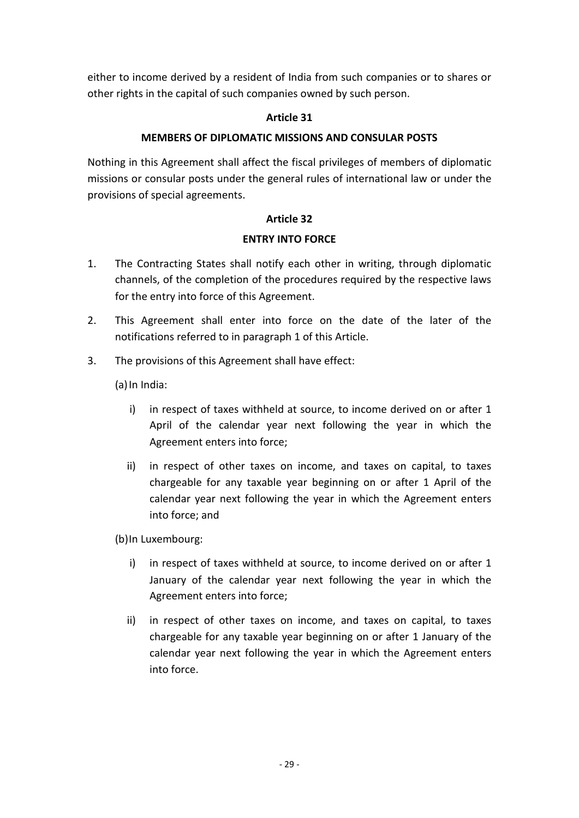either to income derived by a resident of India from such companies or to shares or other rights in the capital of such companies owned by such person.

## **Article 31**

## **MEMBERS OF DIPLOMATIC MISSIONS AND CONSULAR POSTS**

Nothing in this Agreement shall affect the fiscal privileges of members of diplomatic missions or consular posts under the general rules of international law or under the provisions of special agreements.

## **Article 32**

## **ENTRY INTO FORCE**

- 1. The Contracting States shall notify each other in writing, through diplomatic channels, of the completion of the procedures required by the respective laws for the entry into force of this Agreement.
- 2. This Agreement shall enter into force on the date of the later of the notifications referred to in paragraph 1 of this Article.
- 3. The provisions of this Agreement shall have effect:

(a)In India:

- i) in respect of taxes withheld at source, to income derived on or after 1 April of the calendar year next following the year in which the Agreement enters into force;
- ii) in respect of other taxes on income, and taxes on capital, to taxes chargeable for any taxable year beginning on or after 1 April of the calendar year next following the year in which the Agreement enters into force; and

(b)In Luxembourg:

- i) in respect of taxes withheld at source, to income derived on or after 1 January of the calendar year next following the year in which the Agreement enters into force;
- ii) in respect of other taxes on income, and taxes on capital, to taxes chargeable for any taxable year beginning on or after 1 January of the calendar year next following the year in which the Agreement enters into force.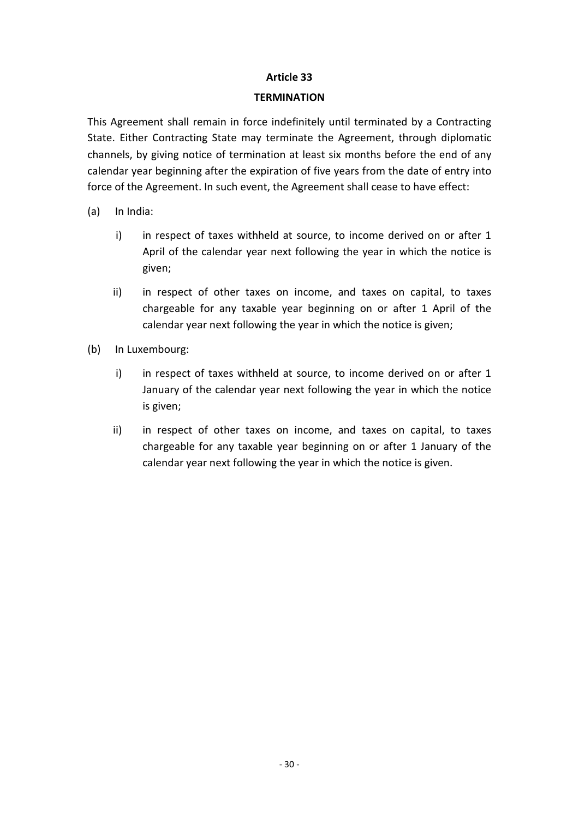#### **TERMINATION**

This Agreement shall remain in force indefinitely until terminated by a Contracting State. Either Contracting State may terminate the Agreement, through diplomatic channels, by giving notice of termination at least six months before the end of any calendar year beginning after the expiration of five years from the date of entry into force of the Agreement. In such event, the Agreement shall cease to have effect:

- (a) In India:
	- i) in respect of taxes withheld at source, to income derived on or after 1 April of the calendar year next following the year in which the notice is given;
	- ii) in respect of other taxes on income, and taxes on capital, to taxes chargeable for any taxable year beginning on or after 1 April of the calendar year next following the year in which the notice is given;
- (b) In Luxembourg:
	- i) in respect of taxes withheld at source, to income derived on or after 1 January of the calendar year next following the year in which the notice is given;
	- ii) in respect of other taxes on income, and taxes on capital, to taxes chargeable for any taxable year beginning on or after 1 January of the calendar year next following the year in which the notice is given.